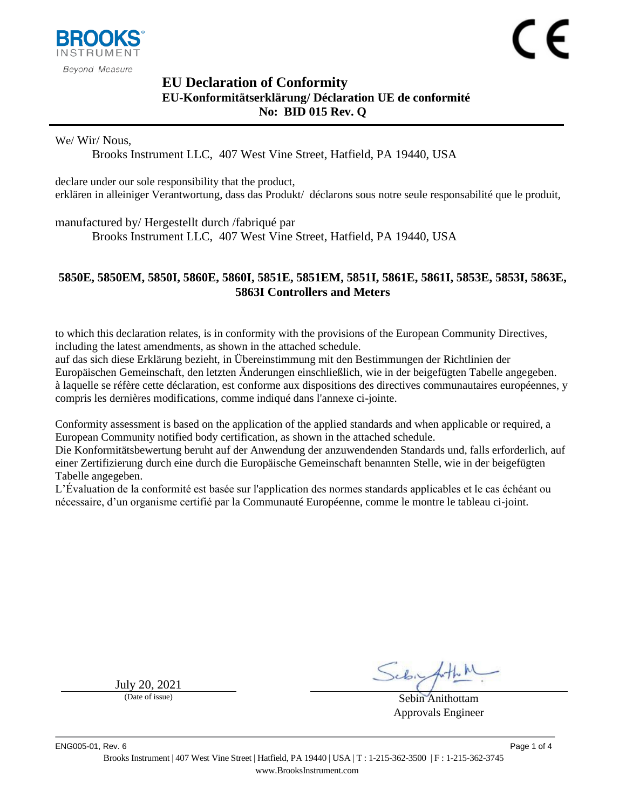

# <span id="page-0-1"></span><span id="page-0-0"></span>**EU Declaration of Conformity EU-Konformitätserklärung/ Déclaration UE de conformité No: BID 015 Rev. Q**

We/ Wir/ Nous,

Brooks Instrument LLC, 407 West Vine Street, Hatfield, PA 19440, USA

declare under our sole responsibility that the product, erklären in alleiniger Verantwortung, dass das Produkt/ déclarons sous notre seule responsabilité que le produit,

manufactured by/ Hergestellt durch /fabriqué par

Brooks Instrument LLC, 407 West Vine Street, Hatfield, PA 19440, USA

### <span id="page-0-2"></span>**5850E, 5850EM, 5850I, 5860E, 5860I, 5851E, 5851EM, 5851I, 5861E, 5861I, 5853E, 5853I, 5863E, 5863I Controllers and Meters**

to which this declaration relates, is in conformity with the provisions of the European Community Directives, including the latest amendments, as shown in the attached schedule.

auf das sich diese Erklärung bezieht, in Übereinstimmung mit den Bestimmungen der Richtlinien der Europäischen Gemeinschaft, den letzten Änderungen einschließlich, wie in der beigefügten Tabelle angegeben. à laquelle se réfère cette déclaration, est conforme aux dispositions des directives communautaires européennes, y compris les dernières modifications, comme indiqué dans l'annexe ci-jointe.

Conformity assessment is based on the application of the applied standards and when applicable or required, a European Community notified body certification, as shown in the attached schedule.

Die Konformitätsbewertung beruht auf der Anwendung der anzuwendenden Standards und, falls erforderlich, auf einer Zertifizierung durch eine durch die Europäische Gemeinschaft benannten Stelle, wie in der beigefügten Tabelle angegeben.

L'Évaluation de la conformité est basée sur l'application des normes standards applicables et le cas échéant ou nécessaire, d'un organisme certifié par la Communauté Européenne, comme le montre le tableau ci-joint.

 $July 20, 2021$ <br>(Date of issue)

Sebin Anithottam Approvals Engineer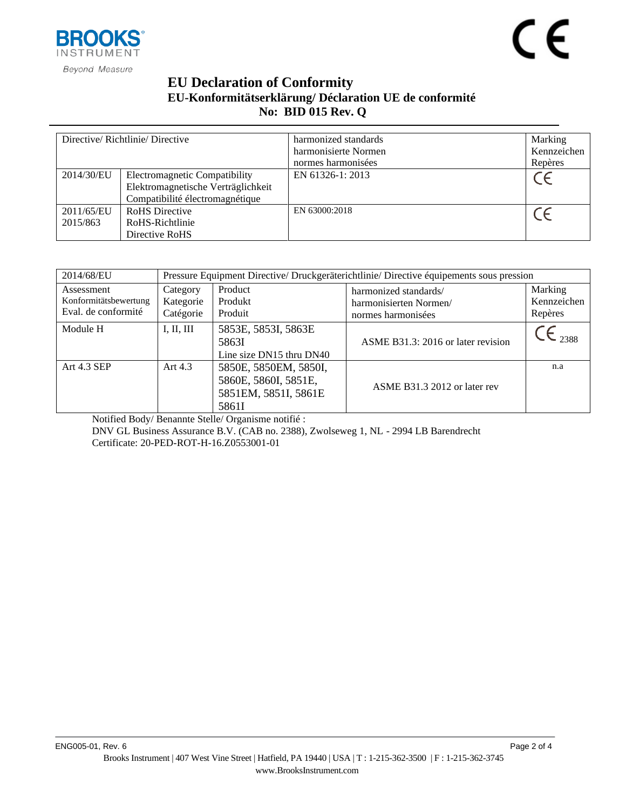

## **EU Declaration of Conformity EU-Konformitätserklärung/ Déclaration UE de conformité No: BID [015](#page-0-0) Rev. [Q](#page-0-1)**

| Directive/Richtlinie/Directive |                                                                                                        | harmonized standards<br>harmonisierte Normen<br>normes harmonisées | Marking<br>Kennzeichen<br>Repères |
|--------------------------------|--------------------------------------------------------------------------------------------------------|--------------------------------------------------------------------|-----------------------------------|
| 2014/30/EU                     | Electromagnetic Compatibility<br>Elektromagnetische Verträglichkeit<br>Compatibilité électromagnétique | EN 61326-1: 2013                                                   |                                   |
| 2011/65/EU<br>2015/863         | <b>RoHS</b> Directive<br>RoHS-Richtlinie<br>Directive RoHS                                             | EN 63000:2018                                                      |                                   |

| 2014/68/EU                                                 | Pressure Equipment Directive/ Druckgeräterichtlinie/ Directive équipements sous pression |                                                                                |                                                                       |                                   |  |
|------------------------------------------------------------|------------------------------------------------------------------------------------------|--------------------------------------------------------------------------------|-----------------------------------------------------------------------|-----------------------------------|--|
| Assessment<br>Konformitätsbewertung<br>Eval. de conformité | Category<br>Kategorie<br>Catégorie                                                       | Product<br>Produkt<br>Produit                                                  | harmonized standards/<br>harmonisierten Normen/<br>normes harmonisées | Marking<br>Kennzeichen<br>Repères |  |
| Module H                                                   | I, II, III                                                                               | 5853E, 5853I, 5863E<br>5863I<br>Line size DN15 thru DN40                       | ASME B31.3: 2016 or later revision                                    | 2388                              |  |
| Art 4.3 SEP                                                | Art $4.3$                                                                                | 5850E, 5850EM, 5850I,<br>5860E, 5860I, 5851E,<br>5851EM, 5851I, 5861E<br>5861I | ASME B31.3 2012 or later rev                                          | n.a                               |  |

Notified Body/ Benannte Stelle/ Organisme notifié : DNV GL Business Assurance B.V. (CAB no. 2388), Zwolseweg 1, NL - 2994 LB Barendrecht Certificate: 20-PED-ROT-H-16.Z0553001-01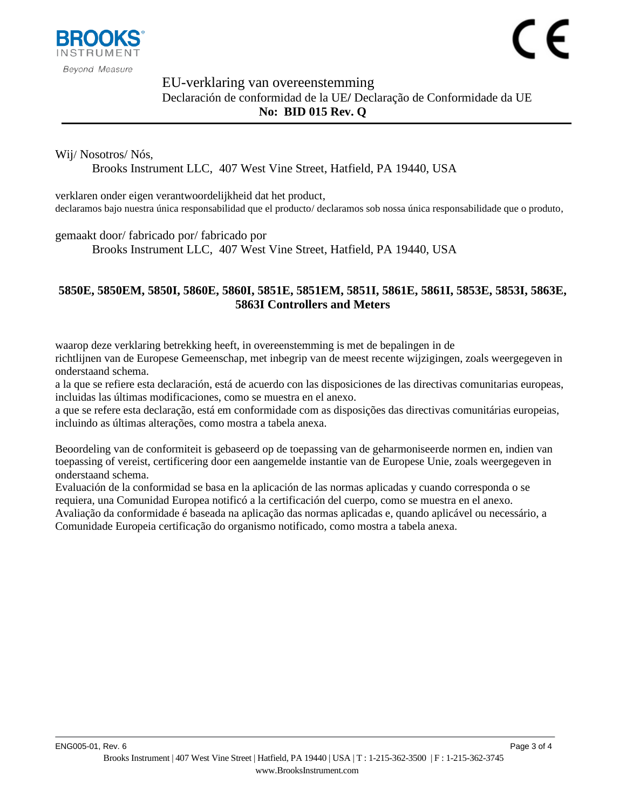

# EU-verklaring van overeenstemming Declaración de conformidad de la UE**/** Declaração de Conformidade da UE **No: BID [015](#page-0-0) Rev. [Q](#page-0-1)**

### Wij/ Nosotros/ Nós,

Brooks Instrument LLC, 407 West Vine Street, Hatfield, PA 19440, USA

verklaren onder eigen verantwoordelijkheid dat het product, declaramos bajo nuestra única responsabilidad que el producto/ declaramos sob nossa única responsabilidade que o produto,

#### gemaakt door/ fabricado por/ fabricado por

Brooks Instrument LLC, 407 West Vine Street, Hatfield, PA 19440, USA

### **[5850E, 5850EM, 5850I, 5860E, 5860I, 5851E, 5851EM, 5851I, 5861E, 5861I, 5853E, 5853I, 5863E,](#page-0-2)  [5863I Controllers and Meters](#page-0-2)**

waarop deze verklaring betrekking heeft, in overeenstemming is met de bepalingen in de richtlijnen van de Europese Gemeenschap, met inbegrip van de meest recente wijzigingen, zoals weergegeven in onderstaand schema.

a la que se refiere esta declaración, está de acuerdo con las disposiciones de las directivas comunitarias europeas, incluidas las últimas modificaciones, como se muestra en el anexo.

a que se refere esta declaração, está em conformidade com as disposições das directivas comunitárias europeias, incluindo as últimas alterações, como mostra a tabela anexa.

Beoordeling van de conformiteit is gebaseerd op de toepassing van de geharmoniseerde normen en, indien van toepassing of vereist, certificering door een aangemelde instantie van de Europese Unie, zoals weergegeven in onderstaand schema.

Evaluación de la conformidad se basa en la aplicación de las normas aplicadas y cuando corresponda o se requiera, una Comunidad Europea notificó a la certificación del cuerpo, como se muestra en el anexo.

Avaliação da conformidade é baseada na aplicação das normas aplicadas e, quando aplicável ou necessário, a Comunidade Europeia certificação do organismo notificado, como mostra a tabela anexa.